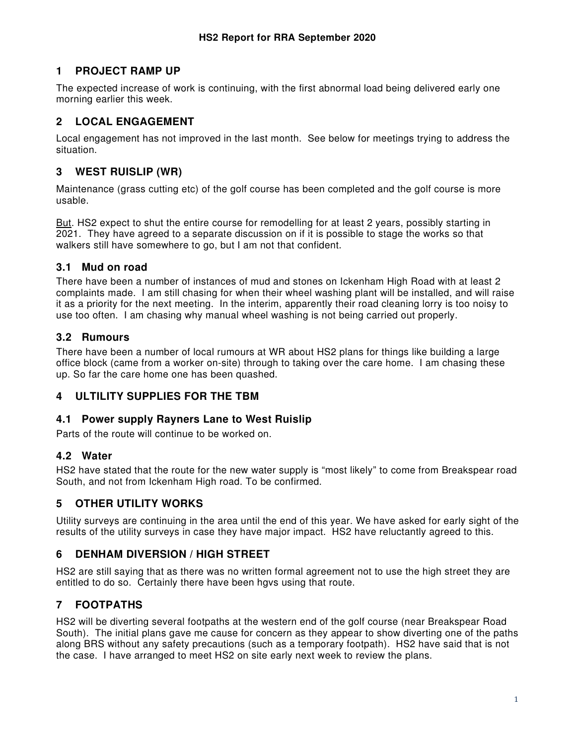## **1 PROJECT RAMP UP**

The expected increase of work is continuing, with the first abnormal load being delivered early one morning earlier this week.

# **2 LOCAL ENGAGEMENT**

Local engagement has not improved in the last month. See below for meetings trying to address the situation.

### **3 WEST RUISLIP (WR)**

Maintenance (grass cutting etc) of the golf course has been completed and the golf course is more usable.

But. HS2 expect to shut the entire course for remodelling for at least 2 years, possibly starting in 2021. They have agreed to a separate discussion on if it is possible to stage the works so that walkers still have somewhere to go, but I am not that confident.

#### **3.1 Mud on road**

There have been a number of instances of mud and stones on Ickenham High Road with at least 2 complaints made. I am still chasing for when their wheel washing plant will be installed, and will raise it as a priority for the next meeting. In the interim, apparently their road cleaning lorry is too noisy to use too often. I am chasing why manual wheel washing is not being carried out properly.

#### **3.2 Rumours**

There have been a number of local rumours at WR about HS2 plans for things like building a large office block (came from a worker on-site) through to taking over the care home. I am chasing these up. So far the care home one has been quashed.

### **4 ULTILITY SUPPLIES FOR THE TBM**

#### **4.1 Power supply Rayners Lane to West Ruislip**

Parts of the route will continue to be worked on.

#### **4.2 Water**

HS2 have stated that the route for the new water supply is "most likely" to come from Breakspear road South, and not from Ickenham High road. To be confirmed.

### **5 OTHER UTILITY WORKS**

Utility surveys are continuing in the area until the end of this year. We have asked for early sight of the results of the utility surveys in case they have major impact. HS2 have reluctantly agreed to this.

# **6 DENHAM DIVERSION / HIGH STREET**

HS2 are still saying that as there was no written formal agreement not to use the high street they are entitled to do so. Certainly there have been hgvs using that route.

# **7 FOOTPATHS**

HS2 will be diverting several footpaths at the western end of the golf course (near Breakspear Road South). The initial plans gave me cause for concern as they appear to show diverting one of the paths along BRS without any safety precautions (such as a temporary footpath). HS2 have said that is not the case. I have arranged to meet HS2 on site early next week to review the plans.